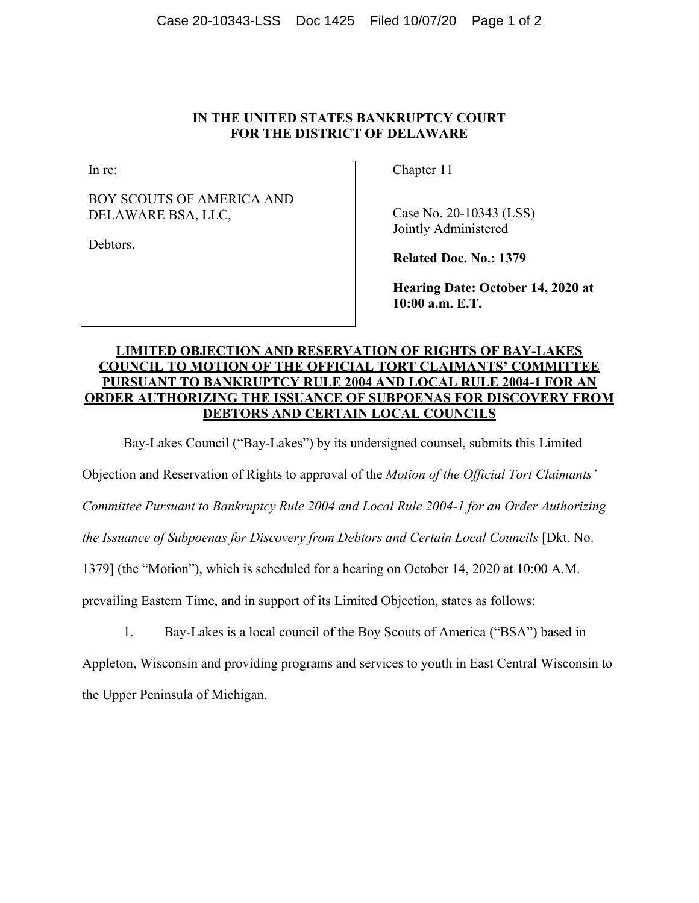## **IN THE UNITED STATES BANKRUPTCY COURT FOR THE DISTRICT OF DELAWARE**

In re:

BOY SCOUTS OF AMERICA AND DELAWARE BSA, LLC,

Debtors.

Chapter 11

Case No. 20-10343 (LSS) Jointly Administered

**Related Doc. No.: 1379** 

**Hearing Date: October 14, 2020 at 10:00 a.m. E.T.** 

## **LIMITED OBJECTION AND RESERVATION OF RIGHTS OF BAY-LAKES COUNCIL TO MOTION OF THE OFFICIAL TORT CLAIMANTS' COMMITTEE PURSUANT TO BANKRUPTCY RULE 2004 AND LOCAL RULE 2004-1 FOR AN ORDER AUTHORIZING THE ISSUANCE OF SUBPOENAS FOR DISCOVERY FROM DEBTORS AND CERTAIN LOCAL COUNCILS**

Bay-Lakes Council ("Bay-Lakes") by its undersigned counsel, submits this Limited

Objection and Reservation of Rights to approval of the *Motion of the Official Tort Claimants'* 

*Committee Pursuant to Bankruptcy Rule 2004 and Local Rule 2004-1 for an Order Authorizing* 

*the Issuance of Subpoenas for Discovery from Debtors and Certain Local Councils* [Dkt. No.

1379] (the "Motion"), which is scheduled for a hearing on October 14, 2020 at 10:00 A.M.

prevailing Eastern Time, and in support of its Limited Objection, states as follows:

1. Bay-Lakes is a local council of the Boy Scouts of America ("BSA") based in

Appleton, Wisconsin and providing programs and services to youth in East Central Wisconsin to the Upper Peninsula of Michigan.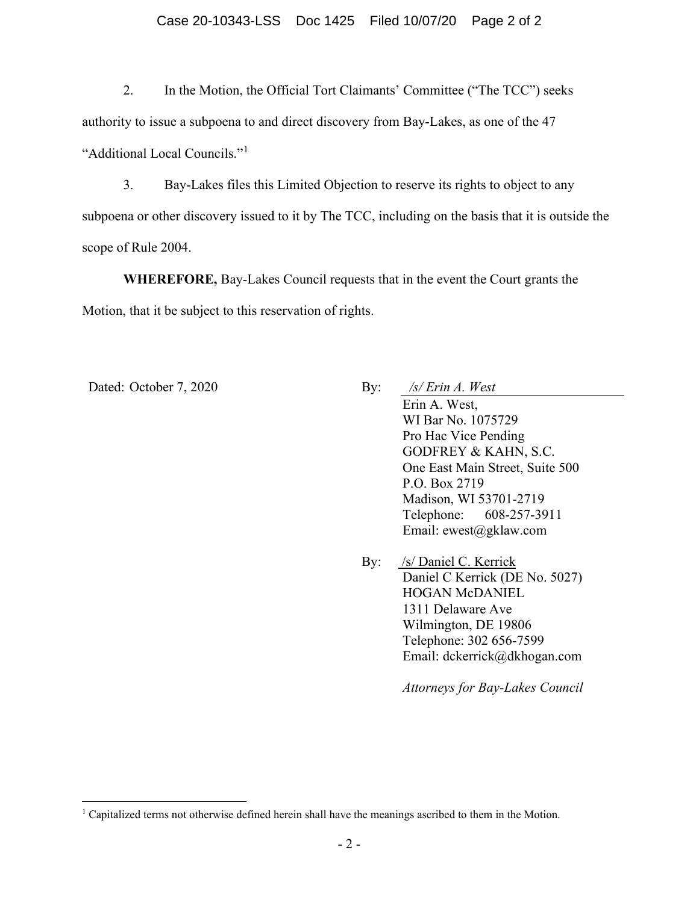## Case 20-10343-LSS Doc 1425 Filed 10/07/20 Page 2 of 2

2. In the Motion, the Official Tort Claimants' Committee ("The TCC") seeks authority to issue a subpoena to and direct discovery from Bay-Lakes, as one of the 47 "Additional Local Councils."[1](#page-1-0)

3. Bay-Lakes files this Limited Objection to reserve its rights to object to any subpoena or other discovery issued to it by The TCC, including on the basis that it is outside the scope of Rule 2004.

**WHEREFORE,** Bay-Lakes Council requests that in the event the Court grants the Motion, that it be subject to this reservation of rights.

- Dated: October 7, 2020 By: */s/ Erin A. West* Erin A. West, WI Bar No. 1075729 Pro Hac Vice Pending GODFREY & KAHN, S.C. One East Main Street, Suite 500 P.O. Box 2719 Madison, WI 53701-2719 Telephone: 608-257-3911 Email: ewest@gklaw.com
	- By: /s/ Daniel C. Kerrick Daniel C Kerrick (DE No. 5027) HOGAN McDANIEL 1311 Delaware Ave Wilmington, DE 19806 Telephone: 302 656-7599 Email: dckerrick@dkhogan.com

*Attorneys for Bay-Lakes Council*

<span id="page-1-0"></span><sup>&</sup>lt;sup>1</sup> Capitalized terms not otherwise defined herein shall have the meanings ascribed to them in the Motion.